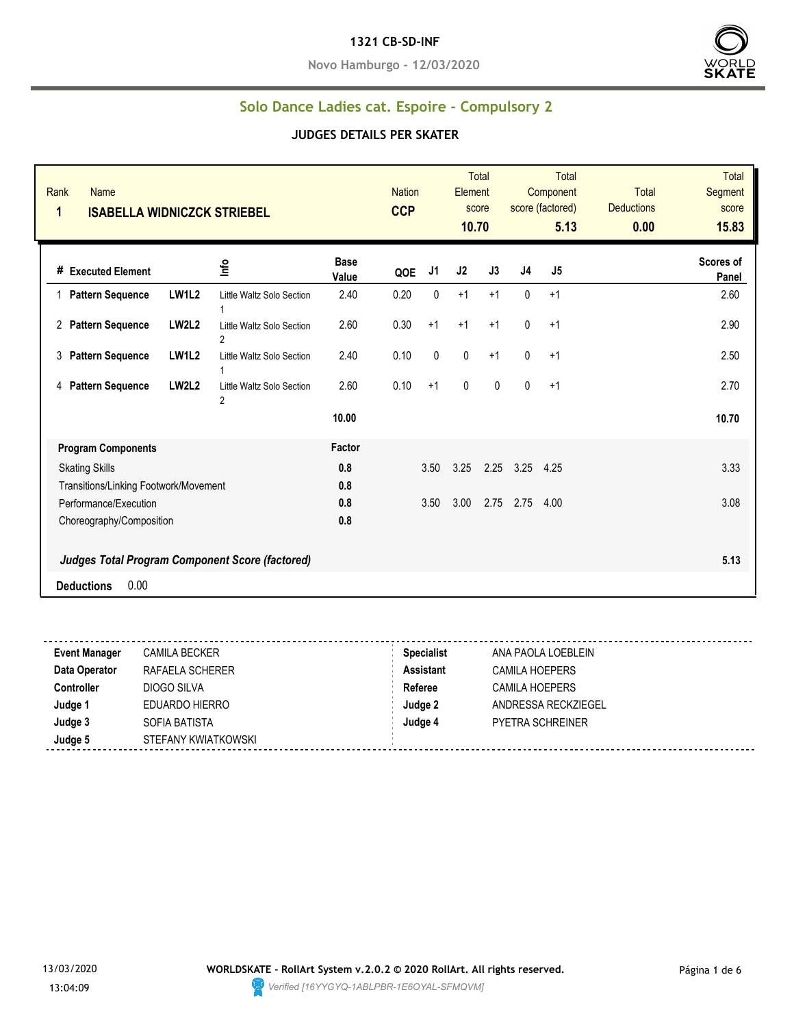#### **1321 CB-SD-INF**

**Novo Hamburgo - 12/03/2020**



## **Solo Dance Ladies cat. Espoire - Compulsory 2**

| Rank<br><b>Name</b><br>1<br><b>ISABELLA WIDNICZCK STRIEBEL</b> |                                             |                      | <b>Nation</b><br><b>CCP</b> |                | Element<br>10.70 | <b>Total</b><br>score |              | <b>Total</b><br>Component<br>score (factored)<br>5.13 | <b>Total</b><br><b>Deductions</b><br>0.00 | <b>Total</b><br>Segment<br>score<br>15.83 |
|----------------------------------------------------------------|---------------------------------------------|----------------------|-----------------------------|----------------|------------------|-----------------------|--------------|-------------------------------------------------------|-------------------------------------------|-------------------------------------------|
| # Executed Element                                             | Info                                        | <b>Base</b><br>Value | QOE                         | J <sub>1</sub> | J2               | J3                    | J4           | J5                                                    |                                           | Scores of<br>Panel                        |
| <b>LW1L2</b><br><b>Pattern Sequence</b><br>1                   | Little Waltz Solo Section                   | 2.40                 | 0.20                        | $\mathbf{0}$   | $+1$             | $+1$                  | $\mathbf{0}$ | $+1$                                                  |                                           | 2.60                                      |
| <b>LW2L2</b><br><b>Pattern Sequence</b><br>2                   | Little Waltz Solo Section<br>2              | 2.60                 | 0.30                        | $+1$           | $+1$             | $+1$                  | 0            | $+1$                                                  |                                           | 2.90                                      |
| <b>LW1L2</b><br>3<br><b>Pattern Sequence</b>                   | Little Waltz Solo Section                   | 2.40                 | 0.10                        | $\mathbf{0}$   | $\mathbf 0$      | $+1$                  | $\mathbf{0}$ | $+1$                                                  |                                           | 2.50                                      |
| <b>LW2L2</b><br><b>Pattern Sequence</b><br>4                   | Little Waltz Solo Section<br>$\overline{2}$ | 2.60                 | 0.10                        | $+1$           | $\pmb{0}$        | 0                     | 0            | $+1$                                                  |                                           | 2.70                                      |
|                                                                |                                             | 10.00                |                             |                |                  |                       |              |                                                       |                                           | 10.70                                     |
| <b>Program Components</b>                                      |                                             | Factor               |                             |                |                  |                       |              |                                                       |                                           |                                           |
| <b>Skating Skills</b>                                          |                                             | 0.8                  |                             | 3.50           | 3.25             | 2.25                  | 3.25         | 4.25                                                  |                                           | 3.33                                      |
| Transitions/Linking Footwork/Movement                          |                                             | 0.8                  |                             |                |                  |                       |              |                                                       |                                           |                                           |
| Performance/Execution                                          |                                             | 0.8                  |                             | 3.50           | 3.00             | 2.75                  | 2.75         | 4.00                                                  |                                           | 3.08                                      |
| Choreography/Composition                                       |                                             | 0.8                  |                             |                |                  |                       |              |                                                       |                                           |                                           |
| Judges Total Program Component Score (factored)                |                                             |                      |                             |                |                  |                       |              |                                                       |                                           | 5.13                                      |
| 0.00<br><b>Deductions</b>                                      |                                             |                      |                             |                |                  |                       |              |                                                       |                                           |                                           |

| <b>Event Manager</b> | <b>CAMILA BECKER</b> | <b>Specialist</b> | ANA PAOLA LOEBLEIN      |
|----------------------|----------------------|-------------------|-------------------------|
| Data Operator        | RAFAELA SCHERER      | <b>Assistant</b>  | <b>CAMILA HOEPERS</b>   |
| <b>Controller</b>    | DIOGO SILVA          | Referee           | CAMILA HOEPERS          |
| Judge 1              | EDUARDO HIERRO       | Judge 2           | ANDRESSA RECKZIEGEL     |
| Judge 3              | SOFIA BATISTA        | Judge 4           | <b>PYETRA SCHREINER</b> |
| Judge 5              | STEFANY KWIATKOWSKI  |                   |                         |
|                      |                      |                   |                         |

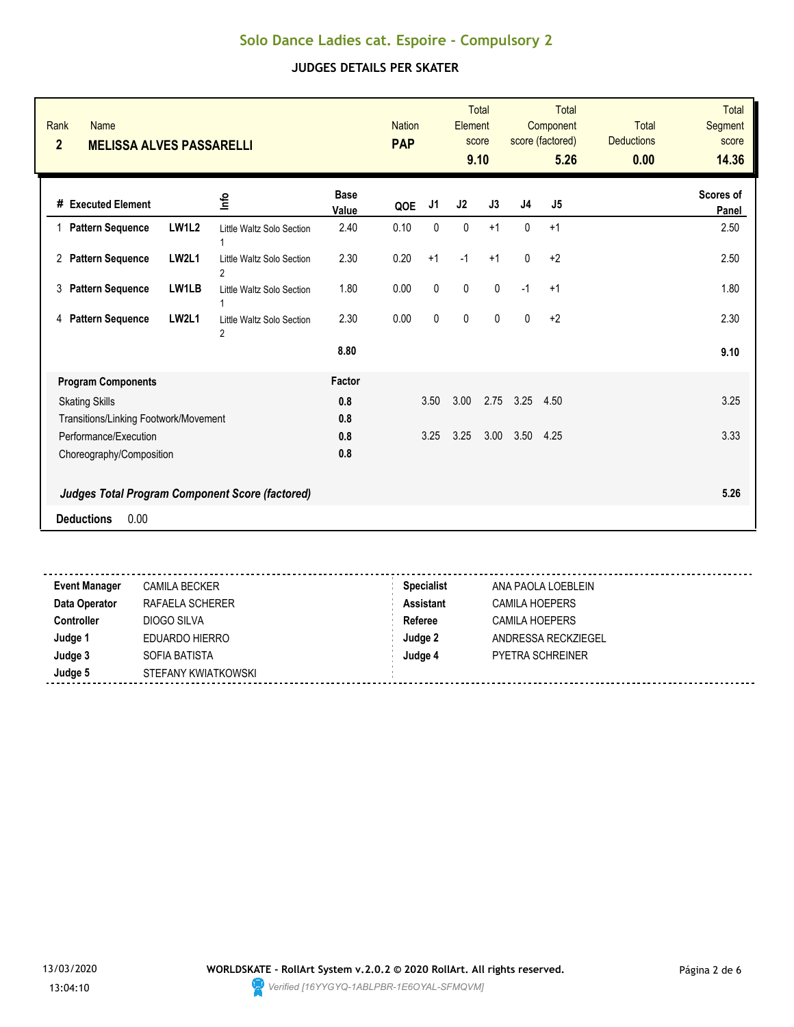| Rank<br><b>Name</b><br>$\overline{2}$<br><b>MELISSA ALVES PASSARELLI</b> |              |                                                        |                      | <b>Nation</b><br><b>PAP</b> |              | Element      | <b>Total</b><br>score<br>9.10 |                | <b>Total</b><br>Component<br>score (factored)<br>5.26 | <b>Total</b><br><b>Deductions</b><br>0.00 | Total<br>Segment<br>score<br>14.36 |
|--------------------------------------------------------------------------|--------------|--------------------------------------------------------|----------------------|-----------------------------|--------------|--------------|-------------------------------|----------------|-------------------------------------------------------|-------------------------------------------|------------------------------------|
| # Executed Element                                                       |              | ۵                                                      | <b>Base</b><br>Value | QOE                         | J1           | J2           | J3                            | J <sub>4</sub> | J <sub>5</sub>                                        |                                           | <b>Scores of</b><br>Panel          |
| 1 Pattern Sequence                                                       | <b>LW1L2</b> | Little Waltz Solo Section<br>1                         | 2.40                 | 0.10                        | 0            | $\pmb{0}$    | $+1$                          | 0              | $+1$                                                  |                                           | 2.50                               |
| 2 Pattern Sequence                                                       | <b>LW2L1</b> | Little Waltz Solo Section<br>2                         | 2.30                 | 0.20                        | $+1$         | $-1$         | $+1$                          | $\mathbf 0$    | $+2$                                                  |                                           | 2.50                               |
| 3<br><b>Pattern Sequence</b>                                             | LW1LB        | Little Waltz Solo Section                              | 1.80                 | 0.00                        | $\pmb{0}$    | $\pmb{0}$    | 0                             | $-1$           | $+1$                                                  |                                           | 1.80                               |
| <b>Pattern Sequence</b><br>4                                             | <b>LW2L1</b> | Little Waltz Solo Section<br>$\overline{2}$            | 2.30                 | 0.00                        | $\mathbf{0}$ | $\mathbf{0}$ | $\mathbf{0}$                  | $\mathbf{0}$   | $+2$                                                  |                                           | 2.30                               |
|                                                                          |              |                                                        | 8.80                 |                             |              |              |                               |                |                                                       |                                           | 9.10                               |
| <b>Program Components</b>                                                |              |                                                        | Factor               |                             |              |              |                               |                |                                                       |                                           |                                    |
| <b>Skating Skills</b>                                                    |              |                                                        | 0.8                  |                             | 3.50         | 3.00         | 2.75                          | 3.25           | 4.50                                                  |                                           | 3.25                               |
| Transitions/Linking Footwork/Movement                                    |              |                                                        | 0.8                  |                             |              |              |                               |                |                                                       |                                           |                                    |
| Performance/Execution                                                    |              |                                                        | 0.8                  |                             | 3.25         | 3.25         | 3.00                          | 3.50           | 4.25                                                  |                                           | 3.33                               |
| Choreography/Composition                                                 |              |                                                        | 0.8                  |                             |              |              |                               |                |                                                       |                                           |                                    |
|                                                                          |              | <b>Judges Total Program Component Score (factored)</b> |                      |                             |              |              |                               |                |                                                       |                                           | 5.26                               |
| 0.00<br><b>Deductions</b>                                                |              |                                                        |                      |                             |              |              |                               |                |                                                       |                                           |                                    |
|                                                                          |              |                                                        |                      |                             |              |              |                               |                |                                                       |                                           |                                    |

| <b>Event Manager</b> | <b>CAMILA BECKER</b> | <b>Specialist</b> | ANA PAOLA LOEBLEIN      |
|----------------------|----------------------|-------------------|-------------------------|
| Data Operator        | RAFAELA SCHERER      | <b>Assistant</b>  | CAMILA HOEPERS          |
| <b>Controller</b>    | DIOGO SILVA          | Referee           | <b>CAMILA HOEPERS</b>   |
| Judge 1              | EDUARDO HIERRO       | Judge 2           | ANDRESSA RECKZIEGEL     |
| Judge 3              | SOFIA BATISTA        | Judge 4           | <b>PYETRA SCHREINER</b> |
| Judge 5              | STEFANY KWIATKOWSKI  |                   |                         |
|                      |                      |                   |                         |

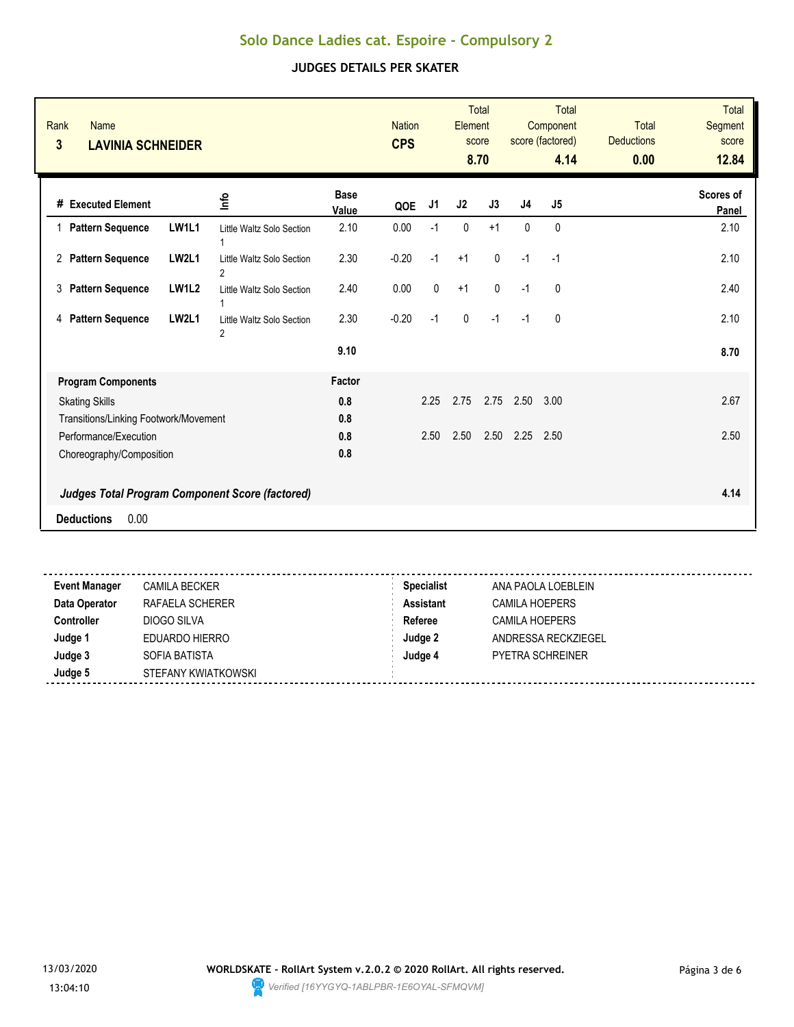| Rank<br><b>Name</b><br>$\mathbf{3}$<br><b>LAVINIA SCHNEIDER</b> |              |                                                        |                      | <b>Nation</b><br><b>CPS</b> |      | Element        | <b>Total</b><br>score<br>8.70 |                | <b>Total</b><br>Component<br>score (factored)<br>4.14 | <b>Total</b><br><b>Deductions</b><br>0.00 | <b>Total</b><br><b>Segment</b><br>score<br>12.84 |
|-----------------------------------------------------------------|--------------|--------------------------------------------------------|----------------------|-----------------------------|------|----------------|-------------------------------|----------------|-------------------------------------------------------|-------------------------------------------|--------------------------------------------------|
| # Executed Element                                              |              | ۵۳                                                     | <b>Base</b><br>Value | QOE                         | J1   | J <sub>2</sub> | J3                            | J <sub>4</sub> | J5                                                    |                                           | <b>Scores of</b><br>Panel                        |
| 1 Pattern Sequence                                              | LW1L1        | Little Waltz Solo Section<br>1                         | 2.10                 | 0.00                        | $-1$ | 0              | $+1$                          | 0              | 0                                                     |                                           | 2.10                                             |
| 2 Pattern Sequence                                              | <b>LW2L1</b> | Little Waltz Solo Section<br>$\overline{2}$            | 2.30                 | $-0.20$                     | $-1$ | $+1$           | $\mathbf 0$                   | $-1$           | $-1$                                                  |                                           | 2.10                                             |
| 3<br><b>Pattern Sequence</b>                                    | <b>LW1L2</b> | Little Waltz Solo Section                              | 2.40                 | 0.00                        | 0    | $+1$           | $\mathbf{0}$                  | $-1$           | $\mathbf{0}$                                          |                                           | 2.40                                             |
| <b>Pattern Sequence</b><br>4                                    | LW2L1        | Little Waltz Solo Section<br>$\overline{2}$            | 2.30                 | $-0.20$                     | $-1$ | $\pmb{0}$      | $-1$                          | $-1$           | $\mathbf{0}$                                          |                                           | 2.10                                             |
|                                                                 |              |                                                        | 9.10                 |                             |      |                |                               |                |                                                       |                                           | 8.70                                             |
| <b>Program Components</b>                                       |              |                                                        | Factor               |                             |      |                |                               |                |                                                       |                                           |                                                  |
| <b>Skating Skills</b>                                           |              |                                                        | 0.8                  |                             | 2.25 | 2.75           | 2.75                          | 2.50           | 3.00                                                  |                                           | 2.67                                             |
| Transitions/Linking Footwork/Movement                           |              |                                                        | 0.8                  |                             |      |                |                               |                |                                                       |                                           |                                                  |
| Performance/Execution                                           |              |                                                        | 0.8                  |                             | 2.50 | 2.50           | 2.50                          | 2.25           | 2.50                                                  |                                           | 2.50                                             |
| Choreography/Composition                                        |              |                                                        | 0.8                  |                             |      |                |                               |                |                                                       |                                           |                                                  |
|                                                                 |              | <b>Judges Total Program Component Score (factored)</b> |                      |                             |      |                |                               |                |                                                       |                                           | 4.14                                             |
| 0.00<br><b>Deductions</b>                                       |              |                                                        |                      |                             |      |                |                               |                |                                                       |                                           |                                                  |
|                                                                 |              |                                                        |                      |                             |      |                |                               |                |                                                       |                                           |                                                  |

| <b>Event Manager</b> | <b>CAMILA BECKER</b> | <b>Specialist</b> | ANA PAOLA LOEBLEIN      |
|----------------------|----------------------|-------------------|-------------------------|
| Data Operator        | RAFAELA SCHERER      | <b>Assistant</b>  | <b>CAMILA HOEPERS</b>   |
| <b>Controller</b>    | DIOGO SILVA          | Referee           | <b>CAMILA HOEPERS</b>   |
| Judge 1              | EDUARDO HIERRO       | Judge 2           | ANDRESSA RECKZIEGEL     |
| Judge 3              | SOFIA BATISTA        | Judge 4           | <b>PYETRA SCHREINER</b> |
| Judge 5              | STEFANY KWIATKOWSKI  |                   |                         |
|                      |                      |                   |                         |

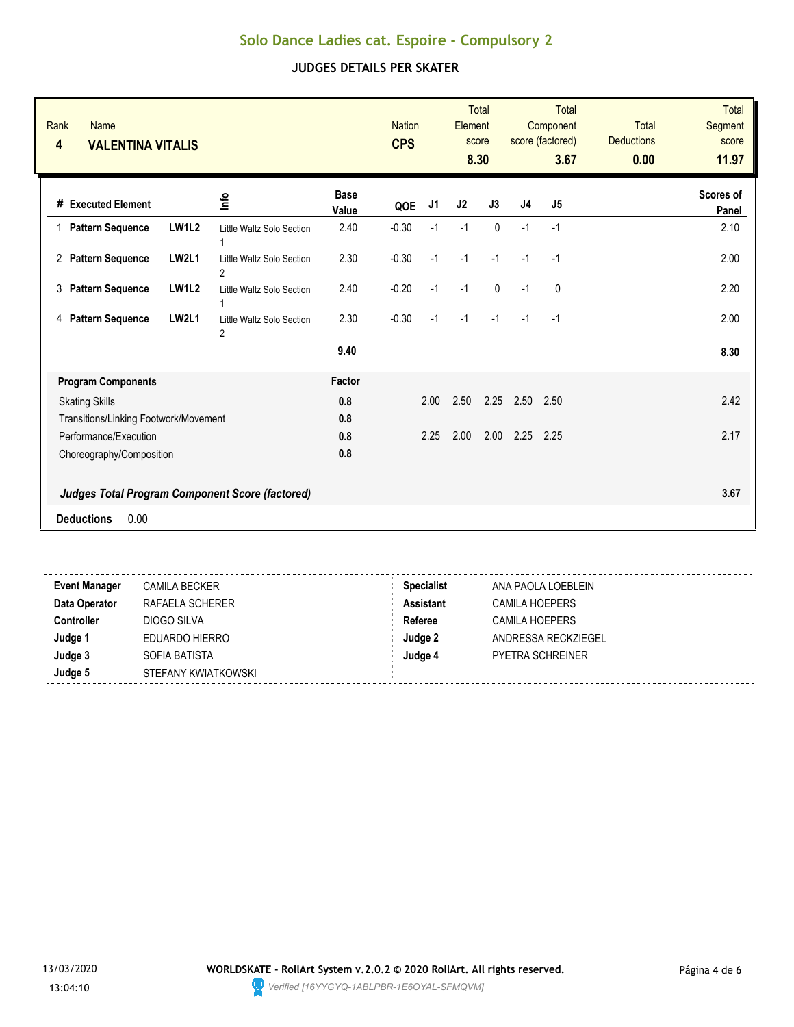| Rank<br><b>Name</b><br>$\overline{\mathbf{4}}$<br><b>VALENTINA VITALIS</b> |              |                                                        |                      | <b>Nation</b><br><b>CPS</b> |      | Element | <b>Total</b><br>score<br>8.30 |                | <b>Total</b><br>Component<br>score (factored)<br>3.67 | <b>Total</b><br><b>Deductions</b><br>0.00 | <b>Total</b><br><b>Segment</b><br>score<br>11.97 |
|----------------------------------------------------------------------------|--------------|--------------------------------------------------------|----------------------|-----------------------------|------|---------|-------------------------------|----------------|-------------------------------------------------------|-------------------------------------------|--------------------------------------------------|
| # Executed Element                                                         |              | ۵۳                                                     | <b>Base</b><br>Value | QOE                         | J1   | J2      | J3                            | J <sub>4</sub> | J <sub>5</sub>                                        |                                           | <b>Scores of</b><br>Panel                        |
| 1 Pattern Sequence                                                         | <b>LW1L2</b> | Little Waltz Solo Section<br>1                         | 2.40                 | $-0.30$                     | $-1$ | $-1$    | $\mathbf{0}$                  | $-1$           | $-1$                                                  |                                           | 2.10                                             |
| 2 Pattern Sequence                                                         | LW2L1        | Little Waltz Solo Section<br>$\overline{2}$            | 2.30                 | $-0.30$                     | $-1$ | $-1$    | $-1$                          | $-1$           | $-1$                                                  |                                           | 2.00                                             |
| <b>Pattern Sequence</b><br>3                                               | <b>LW1L2</b> | Little Waltz Solo Section                              | 2.40                 | $-0.20$                     | $-1$ | $-1$    | $\mathbf{0}$                  | $-1$           | $\mathbf{0}$                                          |                                           | 2.20                                             |
| <b>Pattern Sequence</b><br>4                                               | <b>LW2L1</b> | Little Waltz Solo Section<br>$\overline{2}$            | 2.30                 | $-0.30$                     | $-1$ | $-1$    | $-1$                          | $-1$           | $-1$                                                  |                                           | 2.00                                             |
|                                                                            |              |                                                        | 9.40                 |                             |      |         |                               |                |                                                       |                                           | 8.30                                             |
| <b>Program Components</b>                                                  |              |                                                        | Factor               |                             |      |         |                               |                |                                                       |                                           |                                                  |
| <b>Skating Skills</b>                                                      |              |                                                        | 0.8                  |                             | 2.00 | 2.50    | 2.25                          | 2.50           | 2.50                                                  |                                           | 2.42                                             |
| Transitions/Linking Footwork/Movement                                      |              |                                                        | 0.8                  |                             |      |         |                               |                |                                                       |                                           |                                                  |
| Performance/Execution                                                      |              |                                                        | 0.8                  |                             | 2.25 | 2.00    | 2.00                          | 2.25           | 2.25                                                  |                                           | 2.17                                             |
| Choreography/Composition                                                   |              |                                                        | 0.8                  |                             |      |         |                               |                |                                                       |                                           |                                                  |
|                                                                            |              | <b>Judges Total Program Component Score (factored)</b> |                      |                             |      |         |                               |                |                                                       |                                           | 3.67                                             |
| 0.00<br><b>Deductions</b>                                                  |              |                                                        |                      |                             |      |         |                               |                |                                                       |                                           |                                                  |
|                                                                            |              |                                                        |                      |                             |      |         |                               |                |                                                       |                                           |                                                  |

| <b>Event Manager</b> | <b>CAMILA BECKER</b> | <b>Specialist</b> | ANA PAOLA LOEBLEIN      |
|----------------------|----------------------|-------------------|-------------------------|
| Data Operator        | RAFAELA SCHERER      | <b>Assistant</b>  | CAMILA HOEPERS          |
| <b>Controller</b>    | DIOGO SILVA          | Referee           | <b>CAMILA HOEPERS</b>   |
| Judge 1              | EDUARDO HIERRO       | Judge 2           | ANDRESSA RECKZIEGEL     |
| Judge 3              | SOFIA BATISTA        | Judge 4           | <b>PYETRA SCHREINER</b> |
| Judge 5              | STEFANY KWIATKOWSKI  |                   |                         |
|                      |                      |                   |                         |

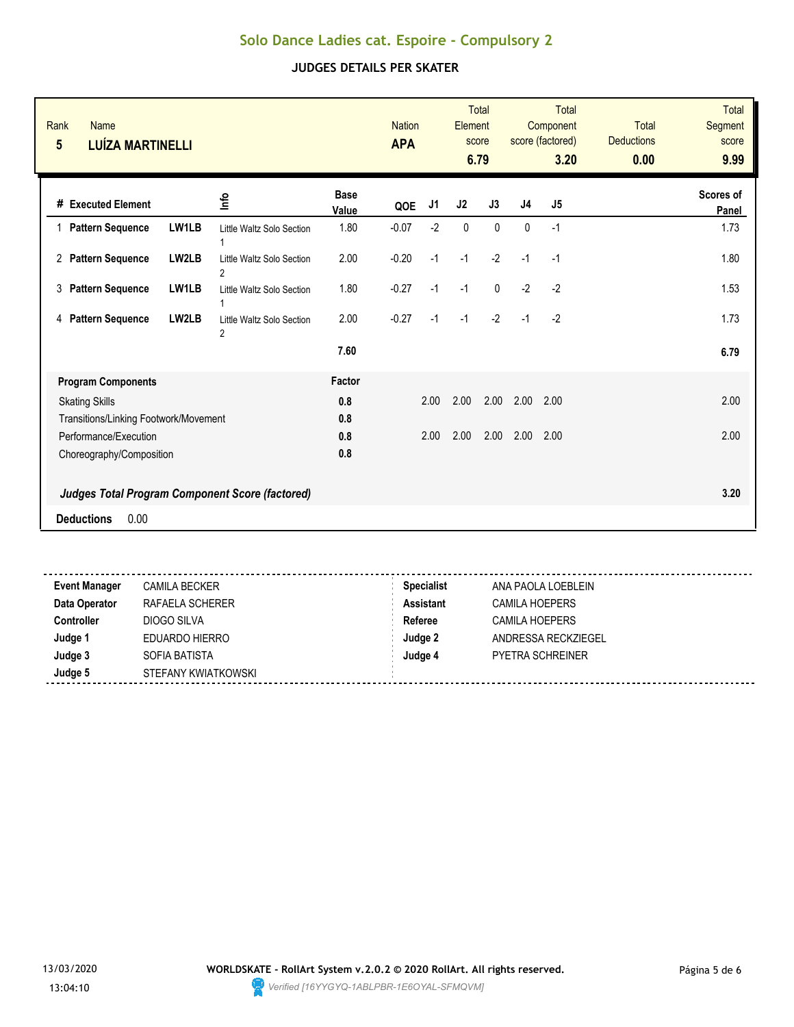#### **JUDGES DETAILS PER SKATER**

| <b>Rank</b><br><b>Name</b><br>$5\phantom{.0}$<br><b>LUÍZA MARTINELLI</b> |       |                                                        |                      | <b>Nation</b><br><b>APA</b> |      | <b>Element</b> | <b>Total</b><br>score<br>6.79 |                | <b>Total</b><br>Component<br>score (factored)<br>3.20 | <b>Total</b><br><b>Deductions</b><br>0.00 | <b>Total</b><br>Segment<br>score<br>9.99 |
|--------------------------------------------------------------------------|-------|--------------------------------------------------------|----------------------|-----------------------------|------|----------------|-------------------------------|----------------|-------------------------------------------------------|-------------------------------------------|------------------------------------------|
| # Executed Element                                                       |       | ۵                                                      | <b>Base</b><br>Value | QOE                         | J1   | J2             | J3                            | J <sub>4</sub> | J <sub>5</sub>                                        |                                           | <b>Scores of</b><br>Panel                |
| 1 Pattern Sequence                                                       | LW1LB | Little Waltz Solo Section<br>1                         | 1.80                 | $-0.07$                     | $-2$ | $\mathbf{0}$   | $\mathbf{0}$                  | $\mathbf{0}$   | $-1$                                                  |                                           | 1.73                                     |
| 2 Pattern Sequence                                                       | LW2LB | Little Waltz Solo Section<br>$\overline{2}$            | 2.00                 | $-0.20$                     | $-1$ | $-1$           | $-2$                          | $-1$           | $-1$                                                  |                                           | 1.80                                     |
| <b>Pattern Sequence</b><br>3                                             | LW1LB | Little Waltz Solo Section                              | 1.80                 | $-0.27$                     | $-1$ | $-1$           | $\Omega$                      | $-2$           | $-2$                                                  |                                           | 1.53                                     |
| <b>Pattern Sequence</b><br>4                                             | LW2LB | Little Waltz Solo Section<br>$\overline{2}$            | 2.00                 | $-0.27$                     | $-1$ | $-1$           | $-2$                          | $-1$           | $-2$                                                  |                                           | 1.73                                     |
|                                                                          |       |                                                        | 7.60                 |                             |      |                |                               |                |                                                       |                                           | 6.79                                     |
| <b>Program Components</b>                                                |       |                                                        | Factor               |                             |      |                |                               |                |                                                       |                                           |                                          |
| <b>Skating Skills</b>                                                    |       |                                                        | 0.8                  |                             | 2.00 | 2.00           | 2.00                          | 2.00           | 2.00                                                  |                                           | 2.00                                     |
| Transitions/Linking Footwork/Movement                                    |       |                                                        | 0.8                  |                             |      |                |                               |                |                                                       |                                           |                                          |
| Performance/Execution                                                    |       |                                                        | 0.8                  |                             | 2.00 | 2.00           | 2.00                          | 2.00           | 2.00                                                  |                                           | 2.00                                     |
| Choreography/Composition                                                 |       |                                                        | 0.8                  |                             |      |                |                               |                |                                                       |                                           |                                          |
|                                                                          |       | <b>Judges Total Program Component Score (factored)</b> |                      |                             |      |                |                               |                |                                                       |                                           | 3.20                                     |
| 0.00<br><b>Deductions</b>                                                |       |                                                        |                      |                             |      |                |                               |                |                                                       |                                           |                                          |
|                                                                          |       |                                                        |                      |                             |      |                |                               |                |                                                       |                                           |                                          |

.................................... **Event Manager** CAMILA BECKER **Specialist** ANA PAOLA LOEBLEIN **Data Operator RAFAELA SCHERER <b>Assistant** CAMILA HOEPERS **Controller** DIOGO SILVA **DIOGO SILVA Referee** CAMILA HOEPERS **Judge 1** EDUARDO HIERRO **Judge 2** ANDRESSA RECKZIEGEL **Judge 3** SOFIA BATISTA **Judge 4** PYETRA SCHREINER **Judge 5** STEFANY KWIATKOWSKI